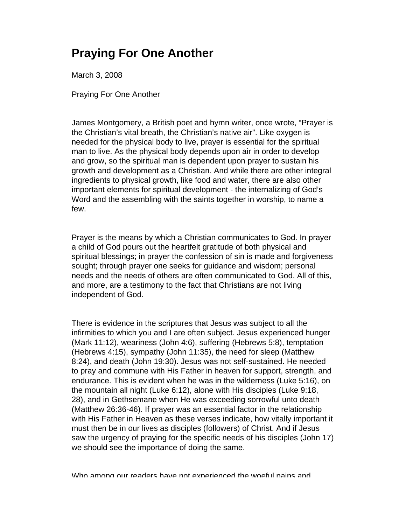## **Praying For One Another**

March 3, 2008

Praying For One Another

James Montgomery, a British poet and hymn writer, once wrote, "Prayer is the Christian's vital breath, the Christian's native air". Like oxygen is needed for the physical body to live, prayer is essential for the spiritual man to live. As the physical body depends upon air in order to develop and grow, so the spiritual man is dependent upon prayer to sustain his growth and development as a Christian. And while there are other integral ingredients to physical growth, like food and water, there are also other important elements for spiritual development - the internalizing of God's Word and the assembling with the saints together in worship, to name a few.

Prayer is the means by which a Christian communicates to God. In prayer a child of God pours out the heartfelt gratitude of both physical and spiritual blessings; in prayer the confession of sin is made and forgiveness sought; through prayer one seeks for guidance and wisdom; personal needs and the needs of others are often communicated to God. All of this, and more, are a testimony to the fact that Christians are not living independent of God.

There is evidence in the scriptures that Jesus was subject to all the infirmities to which you and I are often subject. Jesus experienced hunger (Mark 11:12), weariness (John 4:6), suffering (Hebrews 5:8), temptation (Hebrews 4:15), sympathy (John 11:35), the need for sleep (Matthew 8:24), and death (John 19:30). Jesus was not self-sustained. He needed to pray and commune with His Father in heaven for support, strength, and endurance. This is evident when he was in the wilderness (Luke 5:16), on the mountain all night (Luke 6:12), alone with His disciples (Luke 9:18, 28), and in Gethsemane when He was exceeding sorrowful unto death (Matthew 26:36-46). If prayer was an essential factor in the relationship with His Father in Heaven as these verses indicate, how vitally important it must then be in our lives as disciples (followers) of Christ. And if Jesus saw the urgency of praying for the specific needs of his disciples (John 17) we should see the importance of doing the same.